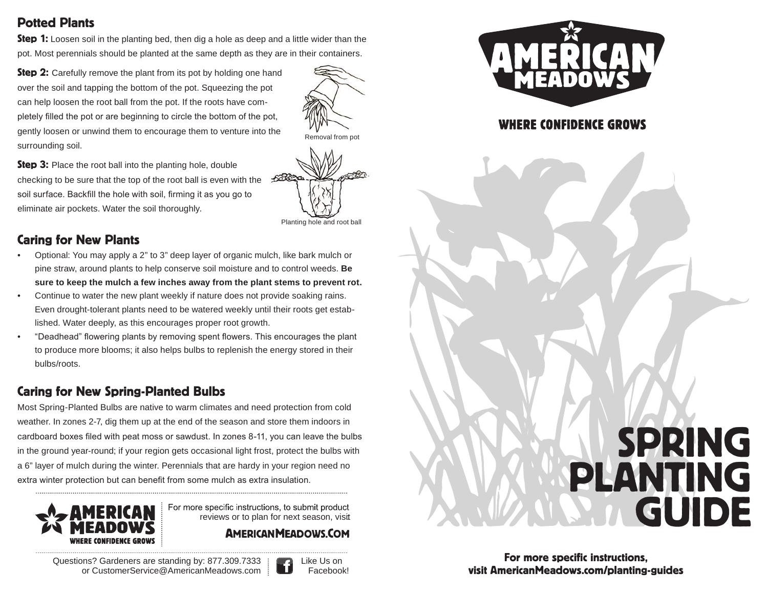## Potted Plants

**Step 1:** Loosen soil in the planting bed, then dig a hole as deep and a little wider than the pot. Most perennials should be planted at the same depth as they are in their containers.

**Step 2:** Carefully remove the plant from its pot by holding one hand over the soil and tapping the bottom of the pot. Squeezing the pot can help loosen the root ball from the pot. If the roots have completely filled the pot or are beginning to circle the bottom of the pot, gently loosen or unwind them to encourage them to venture into the Removal from pot surrounding soil.

**Step 3:** Place the root ball into the planting hole, double checking to be sure that the top of the root ball is even with the soil surface. Backfill the hole with soil, firming it as you go to eliminate air pockets. Water the soil thoroughly.

# Caring for New Plants

- Optional: You may apply a 2" to 3" deep layer of organic mulch, like bark mulch or pine straw, around plants to help conserve soil moisture and to control weeds. **Be sure to keep the mulch a few inches away from the plant stems to prevent rot.**
- Continue to water the new plant weekly if nature does not provide soaking rains. Even drought-tolerant plants need to be watered weekly until their roots get established. Water deeply, as this encourages proper root growth.
- "Deadhead" flowering plants by removing spent flowers. This encourages the plant to produce more blooms; it also helps bulbs to replenish the energy stored in their bulbs/roots.

# Caring for New Spring-Planted Bulbs

Most Spring-Planted Bulbs are native to warm climates and need protection from cold weather. In zones 2-7, dig them up at the end of the season and store them indoors in cardboard boxes filed with peat moss or sawdust. In zones 8-11, you can leave the bulbs in the ground year-round; if your region gets occasional light frost, protect the bulbs with a 6" layer of mulch during the winter. Perennials that are hardy in your region need no extra winter protection but can benefit from some mulch as extra insulation.



For more specific instructions, to submit product reviews or to plan for next season, visit

### **AMERICAN MEADOWS.COM**

Questions? Gardeners are standing by: 877.309.7333 in Like Us on or [CustomerService@AmericanMeadows.com](mailto:CustomerService@AmericanMeadows.com) : UNI Facebook!





# **WHERE CONFIDENCE GROWS**

# SPRING PLANTING GUIDE

For more specific instructions, visit AmericanMeadows.com/planting-guides